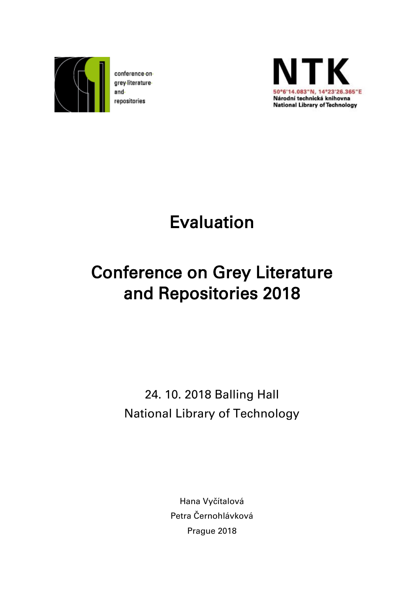

conference ongrey-literatureandrepositories



Evaluation

# Conference on Grey Literature and Repositories 2018

24. 10. 2018 Balling Hall National Library of Technology

> Hana Vyčítalová Petra Černohlávková Prague 2018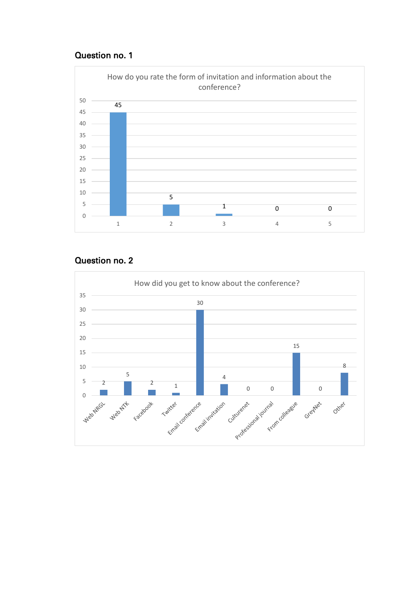

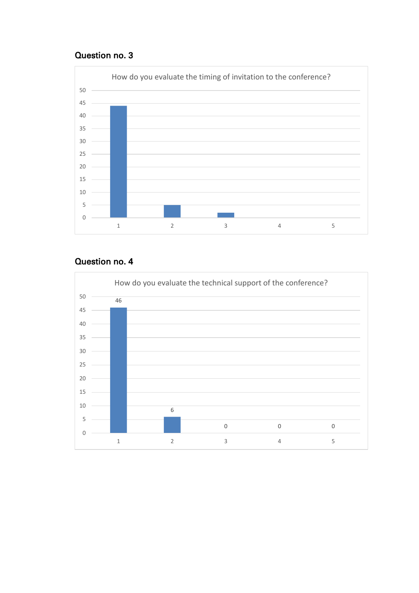

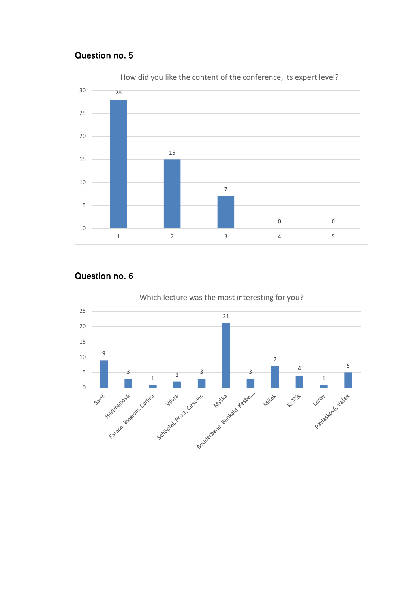

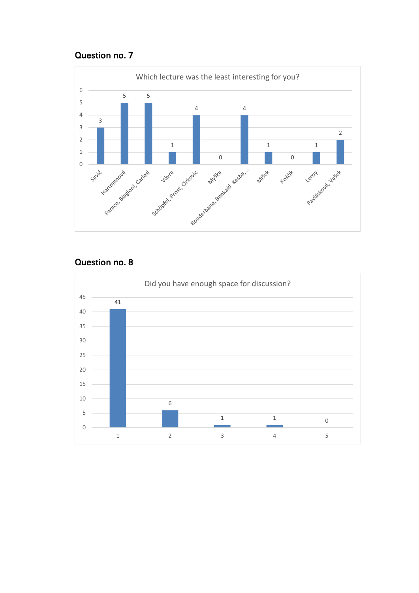

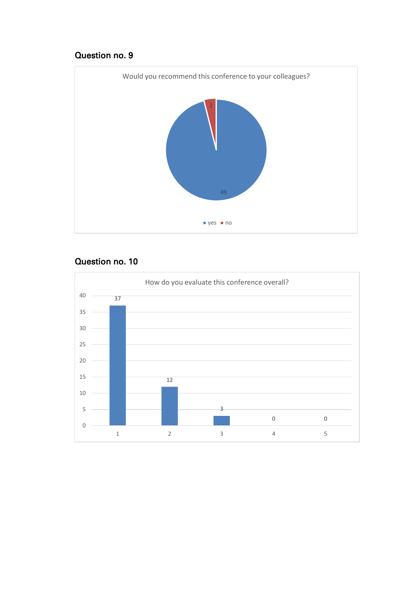

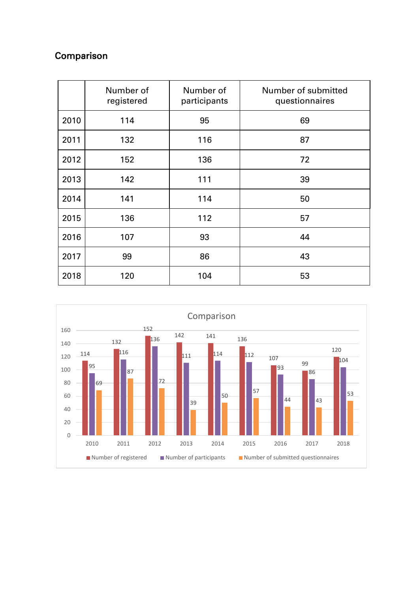# Comparison

|      | Number of<br>registered | Number of<br>participants | Number of submitted<br>questionnaires |
|------|-------------------------|---------------------------|---------------------------------------|
| 2010 | 114                     | 95                        | 69                                    |
| 2011 | 132                     | 116                       | 87                                    |
| 2012 | 152                     | 136                       | 72                                    |
| 2013 | 142                     | 111                       | 39                                    |
| 2014 | 141                     | 114                       | 50                                    |
| 2015 | 136                     | 112                       | 57                                    |
| 2016 | 107                     | 93                        | 44                                    |
| 2017 | 99                      | 86                        | 43                                    |
| 2018 | 120                     | 104                       | 53                                    |

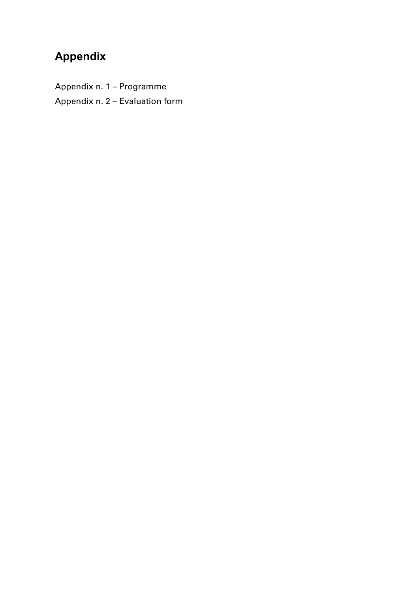# **Appendix**

Appendix n. 1 – Programme Appendix n. 2 – Evaluation form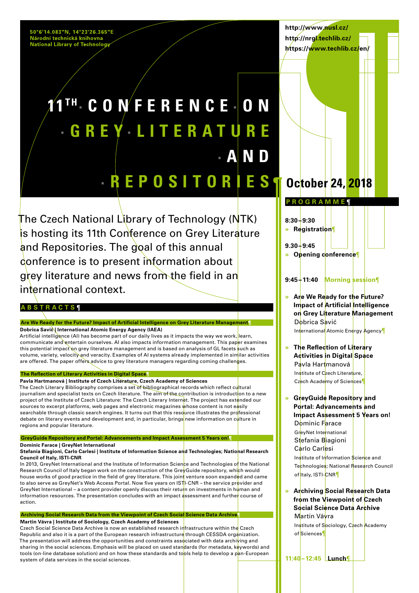50°6'14.083"N, 14°23'26.365"E<br>Národní technická knihovna **National Library of Technology** 

**http://www.nusl.cz/ http://nrgl.techlib.cz/ https://www.techlib.cz/en/**

# **11 T H· CONFERENCE · O N · GREY · L I T E R A T U R E · AND · REPOSITORIES October 24, 2018**

The Czech National Library of Technology (NTK) is hosting its 11th Conference on Grey Literature and Repositories. The goal of this annual conference is to present information about grey literature and news from the field in an international context.

#### **ABSTRACTS ¶**

**Are We Ready for the Future? Impact of Artificial Intelligence on Grey Literature Management¶ Dobrica Savić | International Atomic Energy Agency (IAEA)**

Artificial intelligence (AI) has become part of our daily lives as it impacts the way we work, learn, communicate and entertain ourselves. AI also impacts information management. This paper examines this potential impact on grey literature management and is based on analysis of GL facets such as volume, variety, velocity and veracity. Examples of AI systems already implemented in similar activities are offered. The paper offers advice to grey literature managers regarding coming challenges.

#### **The Reflection of Literary Activities in Digital Space¶**

**Pavla Hartmanová | Institute of Czech Literature, Czech Academy of Sciences** The Czech Literary Bibliography comprises a set of bibliographical records which reflect cultural journalism and specialist texts on Czech literature. The aim of the contribution is introduction to a new project of the Institute of Czech Literature: The Czech Literary Internet. The project has extended our sources to excerpt platforms, web pages and electronic magazines whose content is not easily searchable through classic search engines. It turns out that this resource illustrates the professional debate on literary events and development and, in particular, brings new information on culture in regions and popular literature.

**GreyGuide Repository and Portal: Advancements and Impact Assessment 5 Years on!¶**

**Dominic Farace | GreyNet International** 

#### Stefania Biagioni, Carlo Carlesi | Institute of Information Science and Technologies; National Research **Council of Italy, ISTI-CNR**

In 2013, GreyNet International and the Institute of Information Science and Technologies of the National Research Council of Italy began work on the construction of the GreyGuide repository, which would house works of good practice in the field of grey literature. This joint venture soon expanded and came to also serve as GreyNet's Web Access Portal. Now five years on ISTI-CNR – the service provider and GreyNet International – a content provider openly discuss their return on investments in human and information resources. The presentation concludes with an impact assessment and further course of action.

#### **Archiving Social Research Data from the Viewpoint of Czech Social Science Data Archive¶**

**Martin Vávra | Institute of Sociology, Czech Academy of Sciences**

Czech Social Science Data Archive is now an established research infrastructure within the Czech Republic and also it is a part of the European research infrastructure through CESSDA organization. The presentation will address the opportunities and constraints associated with data archiving and sharing in the social sciences. Emphasis will be placed on used standards (for metadata, keywords) and tools (on-line database solution) and on how these standards and tools help to develop a pan-European system of data services in the social sciences.

**PROGRAMME ¶**

**8:30–9:30** 

**» Registration**¶

**9.30–9:45** 

**» Opening conference**¶

### **9:45–11:40 Morning session**¶

**» Are We Ready for the Future? Impact of Artificial Intelligence on Grey Literature Management** Dobrica Savić International Atomic Energy Agency¶

**» The Reflection of Literary Activities in Digital Space** Pavla Hartmanová Institute of Czech Literature, Czech Academy of Sciences¶

**» GreyGuide Repository and Portal: Advancements and Impact Assessment 5 Years on!** Dominic Farace GreyNet International Stefania Biagioni Carlo Carlesi Institute of Information Science and Technologies; National Research Council of taly, ISTI-CNR¶

**» Archiving Social Research Data from the Viewpoint of Czech Social Science Data Archive** Martin Vávra

Institute of Sociology, Czech Academy of Sciences¶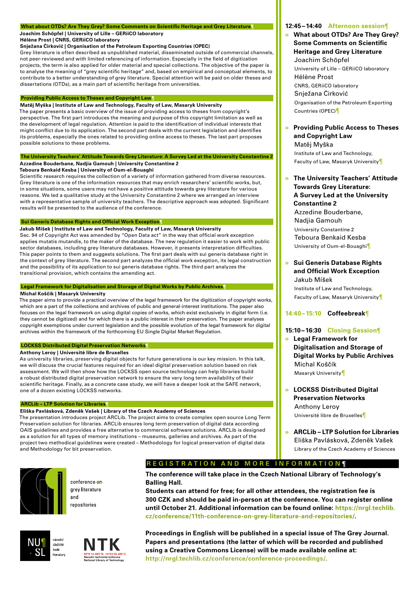#### **What about OTDs? Are They Grey? Some Comments on Scientific Heritage and Grey Literature¶**

**Joachim Schöpfel | University of Lille – GERiiCO laboratory**

#### **Hélène Prost | CNRS, GERiiCO laboratory**

**Snježana Ćirković | Organisation of the Petroleum Exporting Countries (OPEC)**

Grey literature is often described as unpublished material, disseminated outside of commercial channels, not peer-reviewed and with limited referencing of information. Especially in the field of digitization projects, the term is also applied for older material and special collections. The objective of the paper is to analyse the meaning of "grey scientific heritage" and, based on empirical and conceptual elements, to contribute to a better understanding of grey literature. Special attention will be paid on older theses and dissertations (OTDs), as a main part of scientific heritage from universities.

#### **Providing Public Access to Theses and Copyright Law¶**

**Matěj Myška | Institute of Law and Technology, Faculty of Law, Masaryk University** The paper presents a basic overview of the issue of providing access to theses from copyright's perspective. The first part introduces the meaning and purpose of this copyright limitation as well as the development of legal regulation. Attention is paid to the identification of individual interests that might conflict due to its application. The second part deals with the current legislation and identifies its problems, especially the ones related to providing online access to theses. The last part proposes possible solutions to these problems.

#### **The University Teachers' Attitude Towards Grey Literature: A Survey Led at the University Constantine 2 Azzedine Bouderbane, Nadjia Gamouh | University Constantine 2**

**Teboura Benkaid Kesba | University of Oum-el-Bouaghi**  Scientific research requires the collection of a variety of information gathered from diverse resources. Grey literature is one of the information resources that may enrich researchers' scientific works, but, in some situations, some users may not have a positive attitude towards grey literature for various

reasons. We led a qualitative study at the University Constantine 2 where we arranged an interview with a representative sample of university teachers. The descriptive approach was adopted. Significant results will be presented to the audience of the conference.

#### **Sui Generis Database Rights and Official Work Exception¶**

#### **Jakub Míšek | Institute of Law and Technology, Faculty of Law, Masaryk University**

Sec. 94 of Copyright Act was amended by "Open Data act" in the way that official work exception applies mutatis mutandis, to the maker of the database. The new regulation it easier to work with public sector databases, including grey literature databases. However, it presents interpretation difficulties. This paper points to them and suggests solutions. The first part deals with sui generis database right in the context of grey literature. The second part analyzes the official work exception, its legal construction and the possibility of its application to sui generis database rights. The third part analyzes the transitional provision, which contains the amending act.

#### **Legal Framework for Digitalisation and Storage of Digital Works by Public Archives¶**

#### **Michal Koščík | Masaryk University**

The paper aims to provide a practical overview of the legal framework for the digitization of copyright works, which are a part of the collections and archives of public and general-interest institutions. The paper also focuses on the legal framework on using digital copies of works, which exist exclusively in digital form (i.e. they cannot be digitized) and for which there is a public interest in their preservation. The paper analyses copyright exemptions under current legislation and the possible evolution of the legal framework for digital archives within the framework of the forthcoming EU Single Digital Market Regulation.

#### **LOCKSS Distributed Digital Preservation Networks¶ Anthony Leroy | Université libre de Bruxelles**

#### As university libraries, preserving digital objects for future generations is our key mission. In this talk, we will discuss the crucial features required for an ideal digital preservation solution based on risk assessment. We will then show how the LOCKSS open source technology can help libraries build a robust distributed digital preservation network to ensure the very long term availability of their scientific heritage. Finally, as a concrete case study, we will have a deeper look at the SAFE network, one of a dozen existing LOCKSS networks.

#### **ARCLib – LTP Solution for Libraries¶**

#### **Eliška Pavlásková, Zdeněk Vašek | Library of the Czech Academy of Sciences**

The presentation introduces project ARCLib. The project aims to create complex open source Long Term Preservation solution for libraries. ARCLib ensures long term preservation of digital data according OAIS guidelines and provides a free alternative to commercial software solutions. ARCLib is designed as a solution for all types of memory institutions – museums, galleries and archives. As part of the project two methodical guidelines were created – Methodology for logical preservation of digital data and Methodology for bit preservation.



conference on grey-literatureand. repositories





## **REGISTRATION AND MORE INFORMATION ¶**

**The conference will take place in the Czech National Library of Technology's Balling Hall.**

**Students can attend for free; for all other attendees, the registration fee is 300 CZK and should be paid in-person at the conference. You can register online until October 21. Additional information can be found online: https://nrgl.techlib. cz/conference/11th-conference-on-grey-literature-and-repositories[/.](https://nrgl.techlib.cz/conference/10th-conference-on-grey-literature-and-repositories/)**

**Proceedings in English will be published in a special issue of The Grey Journal. Papers and presentations (the latter of which will be recorded and published using a Creative Commons License) will be made available online at: <http://nrgl.techlib.cz/conference/conference-proceedings/>.**

#### **12:45–14:40 Afternoon session**¶

#### **» What about OTDs? Are They Grey? Some Comments on Scientific Heritage and Grey Literature** Joachim Schöpfel

University of Lille – GERiiCO laboratory Hélène Prost CNRS, GERiiCO laboratory Snježana Ćirković Organisation of the Petroleum Exporting Countries (OPEC)¶

#### **» Providing Public Access to Theses and Copyright Law** Matěj Myška

Institute of Law and Technology, Faculty of Law, Masaryk University¶

#### **» The University Teachers' Attitude Towards Grey Literature: A Survey Led at the University Constantine 2**

Azzedine Bouderbane, Nadjia Gamouh University Constantine 2 Teboura Benkaid Kesba University of Oum-el-Bouaghi¶

#### **» Sui Generis Database Rights and Official Work Exception** Jakub Míšek

Institute of Law and Technology, Faculty of Law, Masaryk University¶

#### **14:40–15:10 Coffeebreak**¶

#### **15:10–16:30 Closing Session**¶

- **» Legal Framework for Digitalisation and Storage of Digital Works by Public Archives** Michal Koščík Masaryk University¶
- **» LOCKSS Distributed Digital Preservation Networks** Anthony Leroy Université libre de Bruxelles¶
- **» ARCLib LTP Solution for Libraries** Eliška Pavlásková, Zdeněk Vašek Library of the Czech Academy of Sciences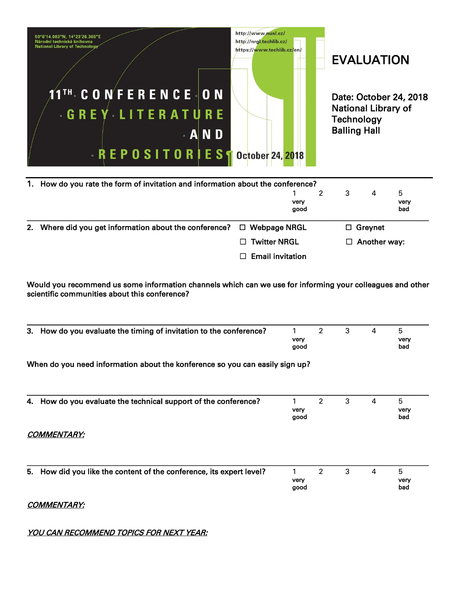

| 1. How do you rate the form of invitation and information about the conference? |                         |              |  |   |                     |                   |  |
|---------------------------------------------------------------------------------|-------------------------|--------------|--|---|---------------------|-------------------|--|
|                                                                                 |                         | very<br>good |  | 3 | 4                   | 5.<br>very<br>bad |  |
| 2. Where did you get information about the conference? $\Box$ Webpage NRGL      |                         |              |  |   | $\Box$ Greynet      |                   |  |
|                                                                                 | $\Box$ Twitter NRGL     |              |  |   | $\Box$ Another way: |                   |  |
|                                                                                 | $\Box$ Email invitation |              |  |   |                     |                   |  |

Would you recommend us some information channels which can we use for informing your colleagues and other scientific communities about this conference?

| How do you evaluate the timing of invitation to the conference?<br>3.        | 1<br>very<br>good | $\overline{2}$ | 3 | 4 | 5<br>very<br>bad |
|------------------------------------------------------------------------------|-------------------|----------------|---|---|------------------|
| When do you need information about the konference so you can easily sign up? |                   |                |   |   |                  |
|                                                                              |                   |                |   |   |                  |
| How do you evaluate the technical support of the conference?<br>4.           | very<br>good      | $\overline{2}$ | 3 | 4 | 5<br>very<br>bad |
| <i>COMMENTARY:</i>                                                           |                   |                |   |   |                  |
|                                                                              |                   |                |   |   |                  |
| How did you like the content of the conference, its expert level?<br>5.      | 1<br>very<br>good | 2              | 3 | 4 | 5<br>very<br>bad |

### COMMENTARY:

## YOU CAN RECOMMEND TOPICS FOR NEXT YEAR: